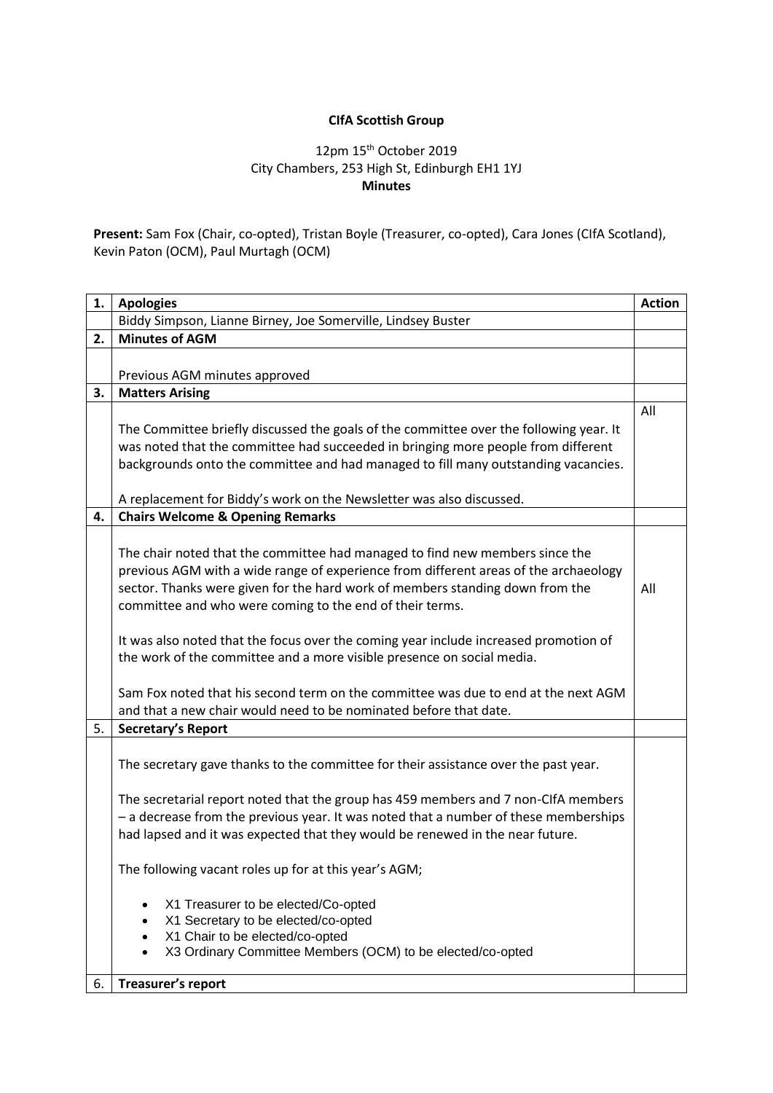## **CIfA Scottish Group**

## 12pm 15th October 2019 City Chambers, 253 High St, Edinburgh EH1 1YJ **Minutes**

**Present:** Sam Fox (Chair, co-opted), Tristan Boyle (Treasurer, co-opted), Cara Jones (CIfA Scotland), Kevin Paton (OCM), Paul Murtagh (OCM)

| 1. | <b>Apologies</b>                                                                                                                                                           | <b>Action</b> |
|----|----------------------------------------------------------------------------------------------------------------------------------------------------------------------------|---------------|
|    | Biddy Simpson, Lianne Birney, Joe Somerville, Lindsey Buster                                                                                                               |               |
| 2. | <b>Minutes of AGM</b>                                                                                                                                                      |               |
|    |                                                                                                                                                                            |               |
|    | Previous AGM minutes approved                                                                                                                                              |               |
| З. | <b>Matters Arising</b>                                                                                                                                                     |               |
|    |                                                                                                                                                                            | All           |
|    | The Committee briefly discussed the goals of the committee over the following year. It                                                                                     |               |
|    | was noted that the committee had succeeded in bringing more people from different                                                                                          |               |
|    | backgrounds onto the committee and had managed to fill many outstanding vacancies.                                                                                         |               |
|    |                                                                                                                                                                            |               |
| 4. | A replacement for Biddy's work on the Newsletter was also discussed.<br><b>Chairs Welcome &amp; Opening Remarks</b>                                                        |               |
|    |                                                                                                                                                                            |               |
|    | The chair noted that the committee had managed to find new members since the                                                                                               |               |
|    | previous AGM with a wide range of experience from different areas of the archaeology                                                                                       |               |
|    | sector. Thanks were given for the hard work of members standing down from the                                                                                              | All           |
|    | committee and who were coming to the end of their terms.                                                                                                                   |               |
|    |                                                                                                                                                                            |               |
|    | It was also noted that the focus over the coming year include increased promotion of                                                                                       |               |
|    | the work of the committee and a more visible presence on social media.                                                                                                     |               |
|    |                                                                                                                                                                            |               |
|    | Sam Fox noted that his second term on the committee was due to end at the next AGM                                                                                         |               |
|    | and that a new chair would need to be nominated before that date.                                                                                                          |               |
| 5. | <b>Secretary's Report</b>                                                                                                                                                  |               |
|    |                                                                                                                                                                            |               |
|    | The secretary gave thanks to the committee for their assistance over the past year.                                                                                        |               |
|    |                                                                                                                                                                            |               |
|    | The secretarial report noted that the group has 459 members and 7 non-CIfA members<br>- a decrease from the previous year. It was noted that a number of these memberships |               |
|    | had lapsed and it was expected that they would be renewed in the near future.                                                                                              |               |
|    |                                                                                                                                                                            |               |
|    | The following vacant roles up for at this year's AGM;                                                                                                                      |               |
|    |                                                                                                                                                                            |               |
|    | X1 Treasurer to be elected/Co-opted                                                                                                                                        |               |
|    | X1 Secretary to be elected/co-opted                                                                                                                                        |               |
|    | X1 Chair to be elected/co-opted                                                                                                                                            |               |
|    | X3 Ordinary Committee Members (OCM) to be elected/co-opted                                                                                                                 |               |
| 6. | Treasurer's report                                                                                                                                                         |               |